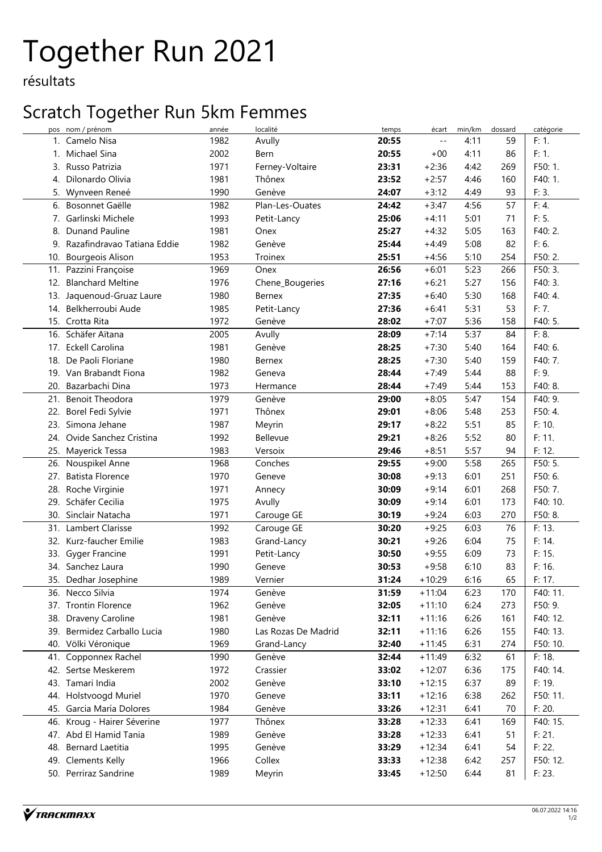# Together Run 2021

résultats

### Scratch Together Run 5km Femmes

| pos | nom / prénom                | année | localité            | temps | écart    | min/km | dossard | catégorie         |
|-----|-----------------------------|-------|---------------------|-------|----------|--------|---------|-------------------|
| 1.  | Camelo Nisa                 | 1982  | Avully              | 20:55 | $- -$    | 4:11   | 59      | F: 1.             |
| 1.  | Michael Sina                | 2002  | Bern                | 20:55 | $+00$    | 4:11   | 86      | F: 1.             |
| 3.  | Russo Patrizia              | 1971  | Ferney-Voltaire     | 23:31 | $+2:36$  | 4:42   | 269     | F50: 1.           |
| 4.  | Dilonardo Olivia            | 1981  | Thônex              | 23:52 | $+2:57$  | 4:46   | 160     | F40: 1.           |
| 5.  | Wynveen Reneé               | 1990  | Genève              | 24:07 | $+3:12$  | 4:49   | 93      | F: 3.             |
| 6.  | Bosonnet Gaëlle             | 1982  | Plan-Les-Ouates     | 24:42 | $+3:47$  | 4:56   | 57      | $\overline{F:}4.$ |
|     | 7. Garlinski Michele        | 1993  | Petit-Lancy         | 25:06 | $+4:11$  | 5:01   | 71      | F: 5.             |
| 8.  | Dunand Pauline              | 1981  | Onex                | 25:27 | $+4:32$  | 5:05   | 163     | F40: 2.           |
| 9.  | Razafindravao Tatiana Eddie | 1982  | Genève              | 25:44 | $+4:49$  | 5:08   | 82      | F: 6.             |
|     | 10. Bourgeois Alison        | 1953  | Troinex             | 25:51 | $+4:56$  | 5:10   | 254     | F50: 2.           |
|     | 11. Pazzini Françoise       | 1969  | Onex                | 26:56 | $+6:01$  | 5:23   | 266     | F50: 3.           |
| 12. | <b>Blanchard Meltine</b>    | 1976  | Chene_Bougeries     | 27:16 | $+6:21$  | 5:27   | 156     | F40: 3.           |
|     | 13. Jaquenoud-Gruaz Laure   | 1980  | <b>Bernex</b>       | 27:35 | $+6:40$  | 5:30   | 168     | F40: 4.           |
| 14. | Belkherroubi Aude           | 1985  | Petit-Lancy         | 27:36 | $+6:41$  | 5:31   | 53      | F: 7.             |
|     | 15. Crotta Rita             | 1972  | Genève              | 28:02 | $+7:07$  | 5:36   | 158     | F40: 5.           |
| 16. | Schäfer Aïtana              | 2005  | Avully              | 28:09 | $+7:14$  | 5:37   | 84      | F: 8.             |
|     | 17. Eckell Carolina         | 1981  | Genève              | 28:25 | $+7:30$  | 5:40   | 164     | F40: 6.           |
| 18. | De Paoli Floriane           | 1980  | <b>Bernex</b>       | 28:25 | $+7:30$  | 5:40   | 159     | F40: 7.           |
|     | 19. Van Brabandt Fiona      | 1982  | Geneva              | 28:44 | $+7:49$  | 5:44   | 88      | F: 9.             |
| 20. | Bazarbachi Dina             | 1973  | Hermance            | 28:44 | $+7:49$  | 5:44   | 153     | F40: 8.           |
| 21. | <b>Benoit Theodora</b>      | 1979  | Genève              | 29:00 | $+8:05$  | 5:47   | 154     | F40: 9.           |
| 22. | Borel Fedi Sylvie           | 1971  | Thônex              | 29:01 | $+8:06$  | 5:48   | 253     | F50: 4.           |
| 23. | Simona Jehane               | 1987  |                     | 29:17 | $+8:22$  | 5:51   | 85      | F: 10.            |
|     |                             |       | Meyrin<br>Bellevue  |       |          |        |         |                   |
|     | 24. Ovide Sanchez Cristina  | 1992  |                     | 29:21 | $+8:26$  | 5:52   | 80      | F: 11.            |
|     | 25. Mayerick Tessa          | 1983  | Versoix             | 29:46 | $+8:51$  | 5:57   | 94      | F: 12.            |
|     | 26. Nouspikel Anne          | 1968  | Conches             | 29:55 | $+9:00$  | 5:58   | 265     | F50: 5.           |
|     | 27. Batista Florence        | 1970  | Geneve              | 30:08 | $+9:13$  | 6:01   | 251     | F50: 6.           |
| 28. | Roche Virginie              | 1971  | Annecy              | 30:09 | $+9:14$  | 6:01   | 268     | F50: 7.           |
| 29. | Schäfer Cecilia             | 1975  | Avully              | 30:09 | $+9:14$  | 6:01   | 173     | F40: 10.          |
| 30. | Sinclair Natacha            | 1971  | Carouge GE          | 30:19 | $+9:24$  | 6:03   | 270     | F50: 8.           |
| 31. | Lambert Clarisse            | 1992  | Carouge GE          | 30:20 | $+9:25$  | 6:03   | 76      | F: 13.            |
|     | 32. Kurz-faucher Emilie     | 1983  | Grand-Lancy         | 30:21 | $+9:26$  | 6:04   | 75      | F: 14.            |
|     | 33. Gyger Francine          | 1991  | Petit-Lancy         | 30:50 | $+9:55$  | 6:09   | 73      | F: 15.            |
|     | 34. Sanchez Laura           | 1990  | Geneve              | 30:53 | $+9:58$  | 6:10   | 83      | F: 16.            |
|     | 35. Dedhar Josephine        | 1989  | Vernier             | 31:24 | $+10:29$ | 6:16   | 65      | F: 17.            |
|     | 36. Necco Silvia            | 1974  | Genève              | 31:59 | $+11:04$ | 6:23   | 170     | F40: 11.          |
|     | 37. Trontin Florence        | 1962  | Genève              | 32:05 | $+11:10$ | 6:24   | 273     | F50: 9.           |
| 38. | Draveny Caroline            | 1981  | Genève              | 32:11 | $+11:16$ | 6:26   | 161     | F40: 12.          |
| 39. | Bermidez Carballo Lucia     | 1980  | Las Rozas De Madrid | 32:11 | $+11:16$ | 6:26   | 155     | F40: 13.          |
| 40. | Völki Véronique             | 1969  | Grand-Lancy         | 32:40 | $+11:45$ | 6:31   | 274     | F50: 10.          |
| 41. | Copponnex Rachel            | 1990  | Genève              | 32:44 | $+11:49$ | 6:32   | 61      | F: 18.            |
|     | 42. Sertse Meskerem         | 1972  | Crassier            | 33:02 | $+12:07$ | 6:36   | 175     | F40: 14.          |
|     | 43. Tamari India            | 2002  | Genève              | 33:10 | $+12:15$ | 6:37   | 89      | F: 19.            |
| 44. | Holstvoogd Muriel           | 1970  | Geneve              | 33:11 | $+12:16$ | 6:38   | 262     | F50: 11.          |
| 45. | Garcia María Dolores        | 1984  | Genève              | 33:26 | $+12:31$ | 6:41   | 70      | F: 20.            |
| 46. | Kroug - Hairer Séverine     | 1977  | Thônex              | 33:28 | $+12:33$ | 6:41   | 169     | F40: 15.          |
|     | 47. Abd El Hamid Tania      | 1989  | Genève              | 33:28 | $+12:33$ | 6:41   | 51      | F: 21.            |
| 48. | Bernard Laetitia            | 1995  | Genève              | 33:29 | $+12:34$ | 6:41   | 54      | F: 22.            |
| 49. | <b>Clements Kelly</b>       | 1966  | Collex              | 33:33 | $+12:38$ | 6:42   | 257     | F50: 12.          |
|     | 50. Perriraz Sandrine       | 1989  | Meyrin              | 33:45 | $+12:50$ | 6:44   | 81      | F: 23.            |
|     |                             |       |                     |       |          |        |         |                   |